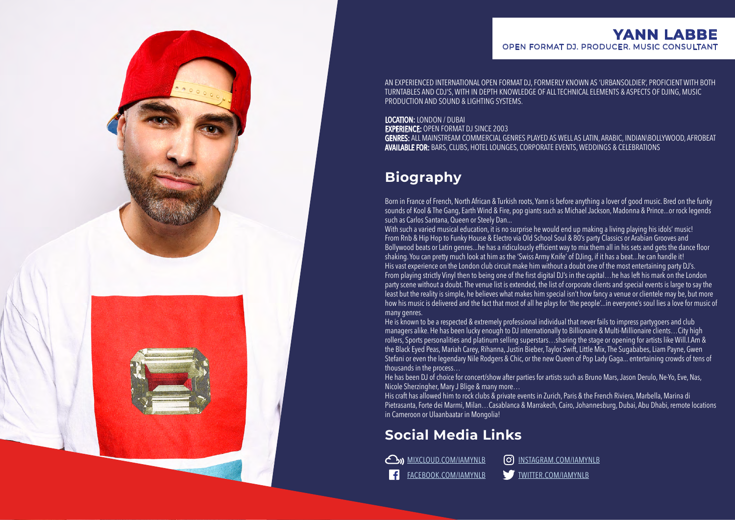### **YANN LABBE** OPEN FORMAT DJ. PRODUCER. MUSIC CONSULTANT

# **Biography**

## **Social Media Links**

**C**<sup>W</sup> [MIXCLOUD.COM/IAMYNLB](http://Mixcloud.com/iamYNLB) **instagram.com/IAMYNLB** [FACEBOOK.COM/IAMYNLB](http://Facebook.com/iamYNLB) [TWITTER.COM/IAMYNLB](http://twitter.com/iamYNLB)

Born in France of French, North African & Turkish roots, Yann is before anything a lover of good music. Bred on the funky sounds of Kool & The Gang, Earth Wind & Fire, pop giants such as Michael Jackson, Madonna & Prince...or rock legends such as Carlos Santana, Queen or Steely Dan...

With such a varied musical education, it is no surprise he would end up making a living playing his idols' music! From Rnb & Hip Hop to Funky House & Electro via Old School Soul & 80's party Classics or Arabian Grooves and Bollywood beats or Latin genres...he has a ridiculously efficient way to mix them all in his sets and gets the dance floor shaking. You can pretty much look at him as the 'Swiss Army Knife' of DJing, if it has a beat...he can handle it! His vast experience on the London club circuit make him without a doubt one of the most entertaining party DJ's. From playing strictly Vinyl then to being one of the first digital DJ's in the capital... he has left his mark on the London party scene without a doubt. The venue list is extended, the list of corporate clients and special events is large to say the least but the reality is simple, he believes what makes him special isn't how fancy a venue or clientele may be, but more how his music is delivered and the fact that most of all he plays for 'the people'...in everyone's soul lies a love for music of many genres.

He is known to be a respected & extremely professional individual that never fails to impress partygoers and club managers alike. He has been lucky enough to DJ internationally to Billionaire & Multi-Millionaire clients…City high rollers, Sports personalities and platinum selling superstars…sharing the stage or opening for artists like Will.I.Am & the Black Eyed Peas, Mariah Carey, Rihanna, Justin Bieber, Taylor Swift, Little Mix, The Sugababes, Liam Payne, Gwen Stefani or even the legendary Nile Rodgers & Chic, or the new Queen of Pop Lady Gaga... entertaining crowds of tens of thousands in the process…

He has been DJ of choice for concert/show after parties for artists such as Bruno Mars, Jason Derulo, Ne-Yo, Eve, Nas, Nicole Sherzingher, Mary J Blige & many more…

His craft has allowed him to rock clubs & private events in Zurich, Paris & the French Riviera, Marbella, Marina di Pietrasanta, Forte dei Marmi, Milan…Casablanca & Marrakech, Cairo, Johannesburg, Dubai, Abu Dhabi, remote locations in Cameroon or Ulaanbaatar in Mongolia!

AN EXPERIENCED INTERNATIONAL OPEN FORMAT DJ, FORMERLY KNOWN AS 'URBANSOLDIER', PROFICIENT WITH BOTH TURNTABLES AND CDJ'S, WITH IN DEPTH KNOWLEDGE OF ALL TECHNICAL ELEMENTS & ASPECTS OF DJING, MUSIC PRODUCTION AND SOUND & LIGHTING SYSTEMS.

LOCATION: LONDON / DUBAI EXPERIENCE: OPEN FORMAT DJ SINCE 2003 GENRES: ALL MAINSTREAM COMMERCIAL GENRES PLAYED AS WELL AS LATIN, ARABIC, INDIAN\BOLLYWOOD, AFROBEAT AVAILABLE FOR: BARS, CLUBS, HOTEL LOUNGES, CORPORATE EVENTS, WEDDINGS & CELEBRATIONS